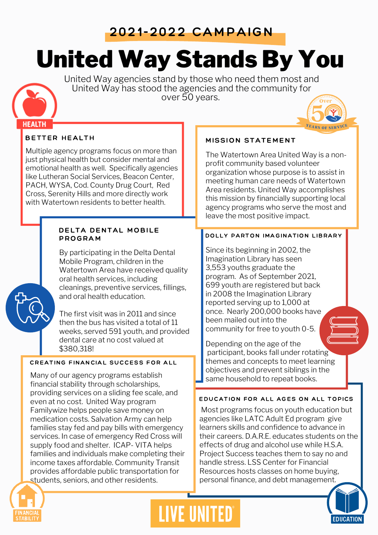## 2021-2022 CAMPAIGN

# United Way Stands By You

United Way agencies stand by those who need them most and United Way has stood the agencies and the community for over 50 years.

### BETTER HEALTH

**HEALTH** 

Multiple agency programs focus on more than just physical health but consider mental and emotional health as well. Specifically agencies like Lutheran Social Services, Beacon Center, PACH, WYSA, Cod. County Drug Court, Red Cross, Serenity Hills and more directly work with Watertown residents to better health.

#### DELTA DENTAL MOBILE PROGRAM

By participating in the Delta Dental Mobile Program, children in the Watertown Area have received quality oral health services, including cleanings, preventive services, fillings, and oral health education.

The first visit was in 2011 and since then the bus has visited a total of 11 weeks, served 591 youth, and provided dental care at no cost valued at \$380,318!

#### CREATING FINANCIAL SUCCESS FOR ALL

Many of our agency programs establish financial stability through scholarships, providing services on a sliding fee scale, and even at no cost. United Way program Familywize helps people save money on medication costs. Salvation Army can help families stay fed and pay bills with emergency services. In case of emergency Red Cross will supply food and shelter. ICAP- VITA helps families and individuals make completing their income taxes affordable. Community Transit provides affordable public transportation for students, seniors, and other residents.

#### MISSION STATEMENT

The Watertown Area United Way is a nonprofit community based volunteer organization whose purpose is to assist in meeting human care needs of Watertown Area residents. United Way accomplishes this mission by financially supporting local agency programs who serve the most and leave the most positive impact.

#### DOLLY PARTON IMAGINATION LIBRARY

Since its beginning in 2002, the Imagination Library has seen 3,553 youths graduate the program. As of September 2021, 699 youth are registered but back in 2008 the Imagination Library reported serving up to 1,000 at once. Nearly 200,000 books have been mailed out into the community for free to youth 0-5.

Depending on the age of the participant, books fall under rotating themes and concepts to meet learning objectives and prevent siblings in the same household to repeat books.

#### EDUCATION FOR ALL AGES ON ALL TOPICS

Most programs focus on youth education but agencies like LATC Adult Ed program give learners skills and confidence to advance in their careers. D.A.R.E. educates students on the effects of drug and alcohol use while H.S.A. Project Success teaches them to say no and handle stress. LSS Center for Financial Resources hosts classes on home buying, personal finance, and debt management.





# **LIVE UNITED**